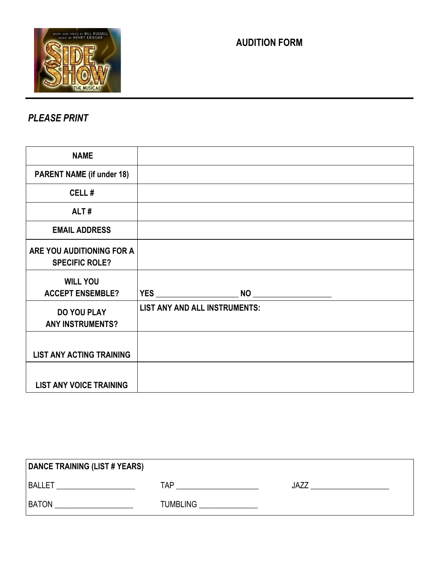

## **AUDITION FORM**

## *PLEASE PRINT*

| <b>NAME</b>                                        |                                                                                                                                                                                                                                                                                                                                                                   |
|----------------------------------------------------|-------------------------------------------------------------------------------------------------------------------------------------------------------------------------------------------------------------------------------------------------------------------------------------------------------------------------------------------------------------------|
| <b>PARENT NAME (if under 18)</b>                   |                                                                                                                                                                                                                                                                                                                                                                   |
| CELL#                                              |                                                                                                                                                                                                                                                                                                                                                                   |
| ALT#                                               |                                                                                                                                                                                                                                                                                                                                                                   |
| <b>EMAIL ADDRESS</b>                               |                                                                                                                                                                                                                                                                                                                                                                   |
| ARE YOU AUDITIONING FOR A<br><b>SPECIFIC ROLE?</b> |                                                                                                                                                                                                                                                                                                                                                                   |
| <b>WILL YOU</b><br><b>ACCEPT ENSEMBLE?</b>         | <b>YES</b><br>$\begin{picture}(180,10) \put(0,0){\line(1,0){10}} \put(15,0){\line(1,0){10}} \put(15,0){\line(1,0){10}} \put(15,0){\line(1,0){10}} \put(15,0){\line(1,0){10}} \put(15,0){\line(1,0){10}} \put(15,0){\line(1,0){10}} \put(15,0){\line(1,0){10}} \put(15,0){\line(1,0){10}} \put(15,0){\line(1,0){10}} \put(15,0){\line(1,0){10}} \put(15,0){\line($ |
| <b>DO YOU PLAY</b><br><b>ANY INSTRUMENTS?</b>      | <b>LIST ANY AND ALL INSTRUMENTS:</b>                                                                                                                                                                                                                                                                                                                              |
| <b>LIST ANY ACTING TRAINING</b>                    |                                                                                                                                                                                                                                                                                                                                                                   |
| <b>LIST ANY VOICE TRAINING</b>                     |                                                                                                                                                                                                                                                                                                                                                                   |

| <b>DANCE TRAINING (LIST # YEARS)</b> |                 |      |
|--------------------------------------|-----------------|------|
| <b>BALLET</b>                        | TAP             | JAZZ |
| <b>BATON</b>                         | <b>TUMBLING</b> |      |